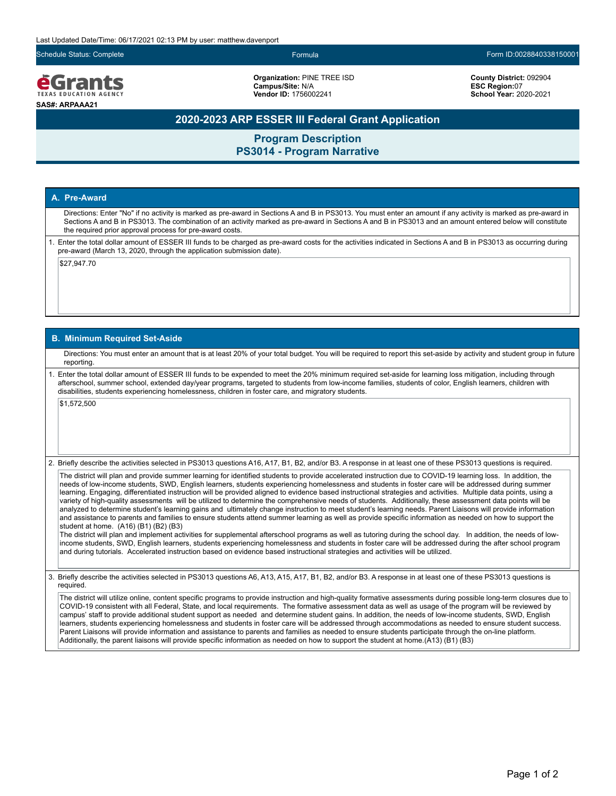Last Updated Date/Time: 06/17/2021 02:13 PM by user: matthew.davenport

eGrants **FXAS EDUCATION AGEN SAS#: ARPAAA21**

**Organization:** PINE TREE ISD **Campus/Site:** N/A **Vendor ID:** 1756002241

Schedule Status: Complete Formula Form ID:0028840338150001

**County District:** 092904 **ESC Region:**07 **School Year:** 2020-2021

## **2020-2023 ARP ESSER III Federal Grant Application**

**Program Description PS3014 - Program Narrative**

### **A. Pre-Award**

Directions: Enter "No" if no activity is marked as pre-award in Sections A and B in PS3013. You must enter an amount if any activity is marked as pre-award in Sections A and B in PS3013. The combination of an activity marked as pre-award in Sections A and B in PS3013 and an amount entered below will constitute the required prior approval process for pre-award costs.

1. Enter the total dollar amount of ESSER III funds to be charged as pre-award costs for the activities indicated in Sections A and B in PS3013 as occurring during pre-award (March 13, 2020, through the application submission date).

\$27,947.70

#### **B. Minimum Required Set-Aside**

Directions: You must enter an amount that is at least 20% of your total budget. You will be required to report this set-aside by activity and student group in future reporting.

1. Enter the total dollar amount of ESSER III funds to be expended to meet the 20% minimum required set-aside for learning loss mitigation, including through afterschool, summer school, extended day/year programs, targeted to students from low-income families, students of color, English learners, children with disabilities, students experiencing homelessness, children in foster care, and migratory students.

\$1,572,500

2. Briefly describe the activities selected in PS3013 questions A16, A17, B1, B2, and/or B3. A response in at least one of these PS3013 questions is required.

The district will plan and provide summer learning for identified students to provide accelerated instruction due to COVID-19 learning loss. In addition, the needs of low-income students, SWD, English learners, students experiencing homelessness and students in foster care will be addressed during summer learning. Engaging, differentiated instruction will be provided aligned to evidence based instructional strategies and activities. Multiple data points, using a variety of high-quality assessments will be utilized to determine the comprehensive needs of students. Additionally, these assessment data points will be analyzed to determine student's learning gains and ultimately change instruction to meet student's learning needs. Parent Liaisons will provide information and assistance to parents and families to ensure students attend summer learning as well as provide specific information as needed on how to support the student at home. (A16) (B1) (B2) (B3)

The district will plan and implement activities for supplemental afterschool programs as well as tutoring during the school day. In addition, the needs of lowincome students, SWD, English learners, students experiencing homelessness and students in foster care will be addressed during the after school program and during tutorials. Accelerated instruction based on evidence based instructional strategies and activities will be utilized.

3. Briefly describe the activities selected in PS3013 questions A6, A13, A15, A17, B1, B2, and/or B3. A response in at least one of these PS3013 questions is required.

The district will utilize online, content specific programs to provide instruction and high-quality formative assessments during possible long-term closures due to COVID-19 consistent with all Federal, State, and local requirements. The formative assessment data as well as usage of the program will be reviewed by campus' staff to provide additional student support as needed and determine student gains. In addition, the needs of low-income students, SWD, English learners, students experiencing homelessness and students in foster care will be addressed through accommodations as needed to ensure student success. Parent Liaisons will provide information and assistance to parents and families as needed to ensure students participate through the on-line platform. Additionally, the parent liaisons will provide specific information as needed on how to support the student at home.(A13) (B1) (B3)